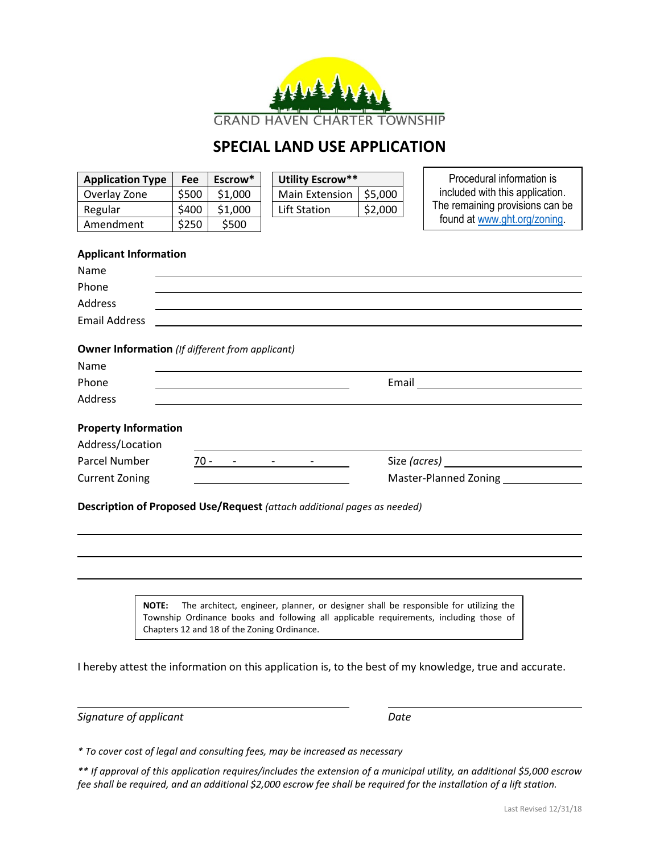

## **SPECIAL LAND USE APPLICATION**

| <b>Application Type</b>                                                 | Fee   | Escrow* |  | Utility Escrow**      |         |  | Procedural information is       |  |
|-------------------------------------------------------------------------|-------|---------|--|-----------------------|---------|--|---------------------------------|--|
| Overlay Zone                                                            | \$500 | \$1,000 |  | <b>Main Extension</b> | \$5,000 |  | included with this application. |  |
| Regular                                                                 | \$400 | \$1,000 |  | <b>Lift Station</b>   | \$2,000 |  | The remaining provisions can be |  |
| Amendment                                                               | \$250 | \$500   |  |                       |         |  | found at www.ght.org/zoning.    |  |
|                                                                         |       |         |  |                       |         |  |                                 |  |
| <b>Applicant Information</b>                                            |       |         |  |                       |         |  |                                 |  |
| Name                                                                    |       |         |  |                       |         |  |                                 |  |
| Phone                                                                   |       |         |  |                       |         |  |                                 |  |
| Address                                                                 |       |         |  |                       |         |  |                                 |  |
| <b>Email Address</b>                                                    |       |         |  |                       |         |  |                                 |  |
|                                                                         |       |         |  |                       |         |  |                                 |  |
| <b>Owner Information</b> (If different from applicant)                  |       |         |  |                       |         |  |                                 |  |
| Name                                                                    |       |         |  |                       |         |  |                                 |  |
| Phone                                                                   |       |         |  |                       |         |  |                                 |  |
| <b>Address</b>                                                          |       |         |  |                       |         |  |                                 |  |
|                                                                         |       |         |  |                       |         |  |                                 |  |
| <b>Property Information</b>                                             |       |         |  |                       |         |  |                                 |  |
| Address/Location                                                        |       |         |  |                       |         |  |                                 |  |
| <b>Parcel Number</b>                                                    |       |         |  | $70 - - - - - - -$    |         |  |                                 |  |
| <b>Current Zoning</b>                                                   |       |         |  |                       |         |  | <b>Master-Planned Zoning</b>    |  |
|                                                                         |       |         |  |                       |         |  |                                 |  |
| Description of Proposed Use/Request (attach additional pages as needed) |       |         |  |                       |         |  |                                 |  |
|                                                                         |       |         |  |                       |         |  |                                 |  |
|                                                                         |       |         |  |                       |         |  |                                 |  |
|                                                                         |       |         |  |                       |         |  |                                 |  |
|                                                                         |       |         |  |                       |         |  |                                 |  |

**NOTE:** The architect, engineer, planner, or designer shall be responsible for utilizing the Township Ordinance books and following all applicable requirements, including those of Chapters 12 and 18 of the Zoning Ordinance.

I hereby attest the information on this application is, to the best of my knowledge, true and accurate.

*Signature of applicant Date*

*\* To cover cost of legal and consulting fees, may be increased as necessary*

*\*\* If approval of this application requires/includes the extension of a municipal utility, an additional \$5,000 escrow fee shall be required, and an additional \$2,000 escrow fee shall be required for the installation of a lift station.*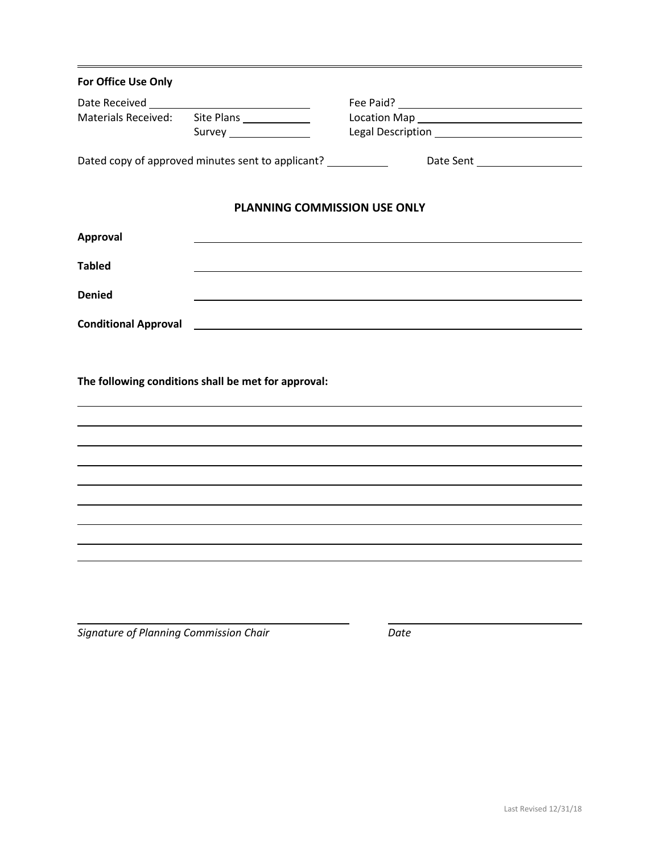| For Office Use Only                                 |                                                         |  |  |  |  |  |  |  |
|-----------------------------------------------------|---------------------------------------------------------|--|--|--|--|--|--|--|
|                                                     |                                                         |  |  |  |  |  |  |  |
| <b>Materials Received:</b>                          | Site Plans                                              |  |  |  |  |  |  |  |
|                                                     | Survey ________________                                 |  |  |  |  |  |  |  |
|                                                     | Dated copy of approved minutes sent to applicant?       |  |  |  |  |  |  |  |
|                                                     | PLANNING COMMISSION USE ONLY                            |  |  |  |  |  |  |  |
| <b>Approval</b>                                     |                                                         |  |  |  |  |  |  |  |
| <b>Tabled</b>                                       |                                                         |  |  |  |  |  |  |  |
| <b>Denied</b>                                       |                                                         |  |  |  |  |  |  |  |
| <b>Conditional Approval</b>                         | <u> 1989 - Johann Barbara, martin amerikan basal da</u> |  |  |  |  |  |  |  |
| The following conditions shall be met for approval: |                                                         |  |  |  |  |  |  |  |
|                                                     |                                                         |  |  |  |  |  |  |  |
|                                                     |                                                         |  |  |  |  |  |  |  |
|                                                     |                                                         |  |  |  |  |  |  |  |
|                                                     |                                                         |  |  |  |  |  |  |  |
|                                                     |                                                         |  |  |  |  |  |  |  |
|                                                     |                                                         |  |  |  |  |  |  |  |
|                                                     |                                                         |  |  |  |  |  |  |  |
|                                                     |                                                         |  |  |  |  |  |  |  |
|                                                     |                                                         |  |  |  |  |  |  |  |
|                                                     |                                                         |  |  |  |  |  |  |  |

*Signature of Planning Commission Chair Date*